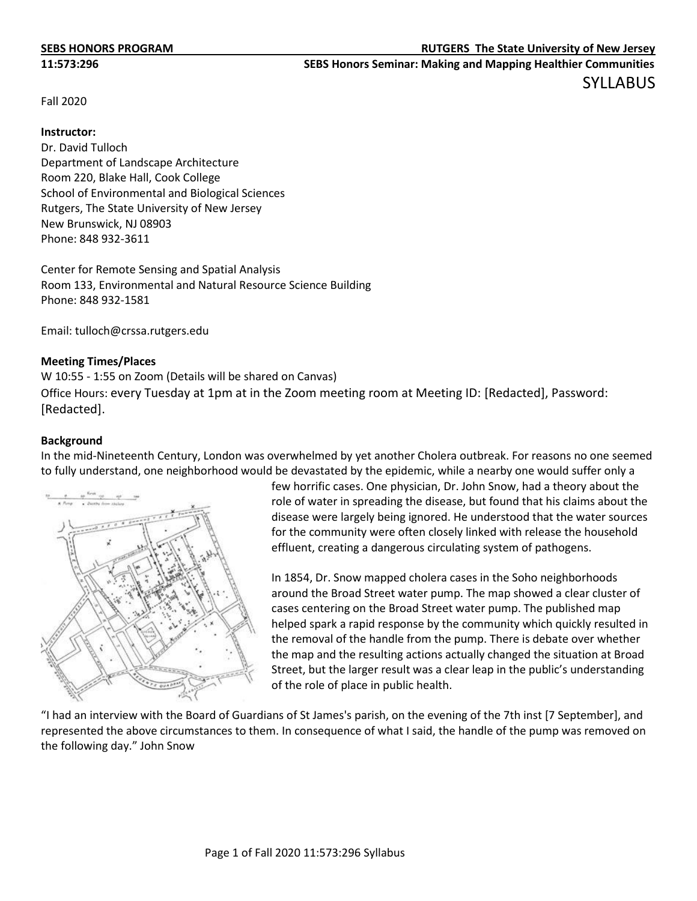Fall 2020

## **Instructor:**

Dr. David Tulloch Department of Landscape Architecture Room 220, Blake Hall, Cook College School of Environmental and Biological Sciences Rutgers, The State University of New Jersey New Brunswick, NJ 08903 Phone: 848 932-3611

Center for Remote Sensing and Spatial Analysis Room 133, Environmental and Natural Resource Science Building Phone: 848 932-1581

Email: tulloch@crssa.rutgers.edu

# **Meeting Times/Places**

W 10:55 - 1:55 on Zoom (Details will be shared on Canvas) Office Hours: every Tuesday at 1pm at in the Zoom meeting room at Meeting ID: [Redacted], Password: [Redacted].

# **Background**

In the mid-Nineteenth Century, London was overwhelmed by yet another Cholera outbreak. For reasons no one seemed to fully understand, one neighborhood would be devastated by the epidemic, while a nearby one would suffer only a



few horrific cases. One physician, Dr. John Snow, had a theory about the role of water in spreading the disease, but found that his claims about the disease were largely being ignored. He understood that the water sources for the community were often closely linked with release the household effluent, creating a dangerous circulating system of pathogens.

In 1854, Dr. Snow mapped cholera cases in the Soho neighborhoods around the Broad Street water pump. The map showed a clear cluster of cases centering on the Broad Street water pump. The published map helped spark a rapid response by the community which quickly resulted in the removal of the handle from the pump. There is debate over whether the map and the resulting actions actually changed the situation at Broad Street, but the larger result was a clear leap in the public's understanding of the role of place in public health.

"I had an interview with the Board of Guardians of St James's parish, on the evening of the 7th inst [7 September], and represented the above circumstances to them. In consequence of what I said, the handle of the pump was removed on the following day." John Snow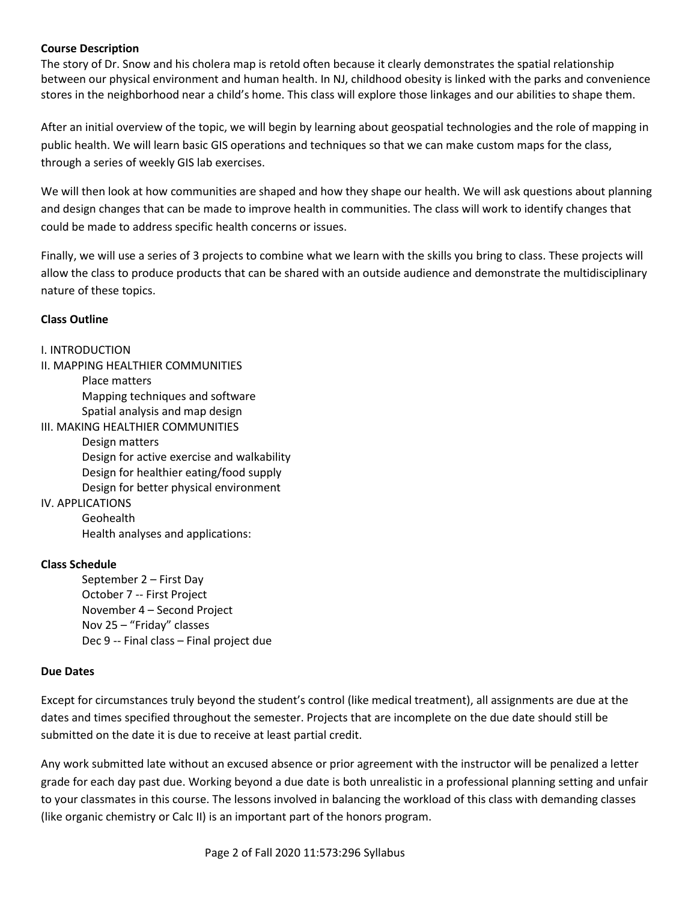# **Course Description**

The story of Dr. Snow and his cholera map is retold often because it clearly demonstrates the spatial relationship between our physical environment and human health. In NJ, childhood obesity is linked with the parks and convenience stores in the neighborhood near a child's home. This class will explore those linkages and our abilities to shape them.

After an initial overview of the topic, we will begin by learning about geospatial technologies and the role of mapping in public health. We will learn basic GIS operations and techniques so that we can make custom maps for the class, through a series of weekly GIS lab exercises.

We will then look at how communities are shaped and how they shape our health. We will ask questions about planning and design changes that can be made to improve health in communities. The class will work to identify changes that could be made to address specific health concerns or issues.

Finally, we will use a series of 3 projects to combine what we learn with the skills you bring to class. These projects will allow the class to produce products that can be shared with an outside audience and demonstrate the multidisciplinary nature of these topics.

# **Class Outline**

# I. INTRODUCTION

II. MAPPING HEALTHIER COMMUNITIES Place matters

Mapping techniques and software Spatial analysis and map design

III. MAKING HEALTHIER COMMUNITIES

Design matters Design for active exercise and walkability Design for healthier eating/food supply Design for better physical environment

# IV. APPLICATIONS

Geohealth Health analyses and applications:

# **Class Schedule**

September 2 – First Day October 7 -- First Project November 4 – Second Project Nov 25 – "Friday" classes Dec 9 -- Final class – Final project due

# **Due Dates**

Except for circumstances truly beyond the student's control (like medical treatment), all assignments are due at the dates and times specified throughout the semester. Projects that are incomplete on the due date should still be submitted on the date it is due to receive at least partial credit.

Any work submitted late without an excused absence or prior agreement with the instructor will be penalized a letter grade for each day past due. Working beyond a due date is both unrealistic in a professional planning setting and unfair to your classmates in this course. The lessons involved in balancing the workload of this class with demanding classes (like organic chemistry or Calc II) is an important part of the honors program.